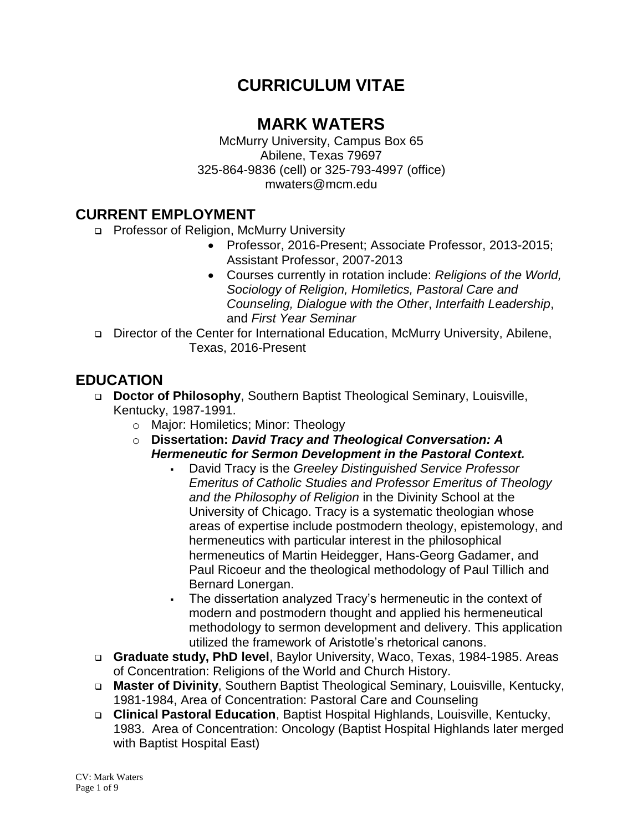## **CURRICULUM VITAE**

## **MARK WATERS**

McMurry University, Campus Box 65 Abilene, Texas 79697 325-864-9836 (cell) or 325-793-4997 (office) mwaters@mcm.edu

#### **CURRENT EMPLOYMENT**

- □ Professor of Religion, McMurry University
	- Professor, 2016-Present; Associate Professor, 2013-2015; Assistant Professor, 2007-2013
	- Courses currently in rotation include: *Religions of the World, Sociology of Religion, Homiletics, Pastoral Care and Counseling, Dialogue with the Other*, *Interfaith Leadership*, and *First Year Seminar*
- □ Director of the Center for International Education, McMurry University, Abilene, Texas, 2016-Present

### **EDUCATION**

- **Doctor of Philosophy**, Southern Baptist Theological Seminary, Louisville, Kentucky, 1987-1991.
	- o Major: Homiletics; Minor: Theology
	- o **Dissertation:** *David Tracy and Theological Conversation: A Hermeneutic for Sermon Development in the Pastoral Context.*
		- David Tracy is the *Greeley Distinguished Service Professor Emeritus of Catholic Studies and Professor Emeritus of Theology and the Philosophy of Religion* in the Divinity School at the University of Chicago. Tracy is a systematic theologian whose areas of expertise include postmodern theology, epistemology, and hermeneutics with particular interest in the philosophical hermeneutics of Martin Heidegger, Hans-Georg Gadamer, and Paul Ricoeur and the theological methodology of Paul Tillich and Bernard Lonergan.
		- The dissertation analyzed Tracy's hermeneutic in the context of modern and postmodern thought and applied his hermeneutical methodology to sermon development and delivery. This application utilized the framework of Aristotle's rhetorical canons.
- **Graduate study, PhD level**, Baylor University, Waco, Texas, 1984-1985. Areas of Concentration: Religions of the World and Church History.
- **Master of Divinity**, Southern Baptist Theological Seminary, Louisville, Kentucky, 1981-1984, Area of Concentration: Pastoral Care and Counseling
- **Clinical Pastoral Education**, Baptist Hospital Highlands, Louisville, Kentucky, 1983. Area of Concentration: Oncology (Baptist Hospital Highlands later merged with Baptist Hospital East)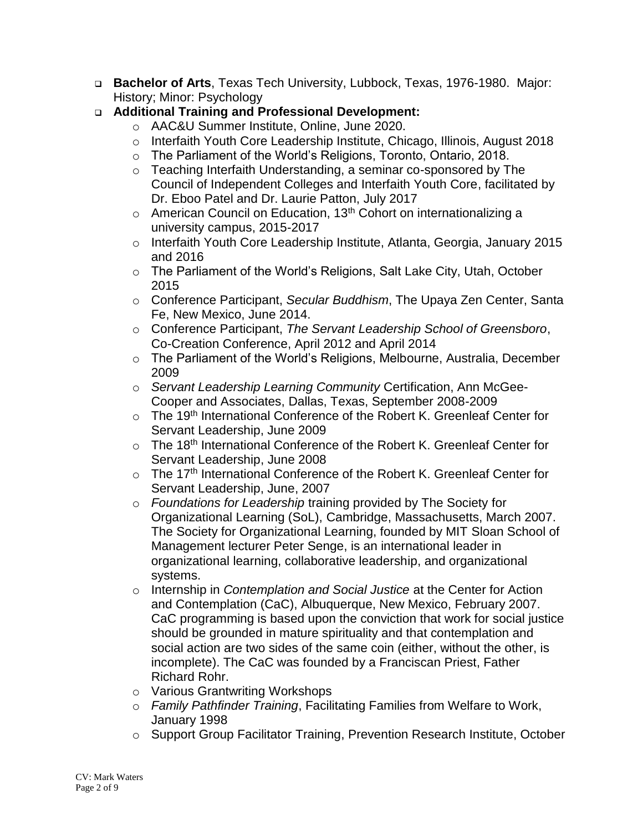- **Bachelor of Arts**, Texas Tech University, Lubbock, Texas, 1976-1980. Major: History; Minor: Psychology
- **Additional Training and Professional Development:** 
	- o AAC&U Summer Institute, Online, June 2020.
	- o Interfaith Youth Core Leadership Institute, Chicago, Illinois, August 2018
	- o The Parliament of the World's Religions, Toronto, Ontario, 2018.
	- o Teaching Interfaith Understanding, a seminar co-sponsored by The Council of Independent Colleges and Interfaith Youth Core, facilitated by Dr. Eboo Patel and Dr. Laurie Patton, July 2017
	- $\circ$  American Council on Education, 13<sup>th</sup> Cohort on internationalizing a university campus, 2015-2017
	- o Interfaith Youth Core Leadership Institute, Atlanta, Georgia, January 2015 and 2016
	- o The Parliament of the World's Religions, Salt Lake City, Utah, October 2015
	- o Conference Participant, *Secular Buddhism*, The Upaya Zen Center, Santa Fe, New Mexico, June 2014.
	- o Conference Participant, *The Servant Leadership School of Greensboro*, Co-Creation Conference, April 2012 and April 2014
	- o The Parliament of the World's Religions, Melbourne, Australia, December 2009
	- o *Servant Leadership Learning Community* Certification, Ann McGee-Cooper and Associates, Dallas, Texas, September 2008-2009
	- o The 19<sup>th</sup> International Conference of the Robert K. Greenleaf Center for Servant Leadership, June 2009
	- o The 18<sup>th</sup> International Conference of the Robert K. Greenleaf Center for Servant Leadership, June 2008
	- o The 17<sup>th</sup> International Conference of the Robert K. Greenleaf Center for Servant Leadership, June, 2007
	- o *Foundations for Leadership* training provided by The Society for Organizational Learning (SoL), Cambridge, Massachusetts, March 2007. The Society for Organizational Learning, founded by MIT Sloan School of Management lecturer Peter Senge, is an international leader in organizational learning, collaborative leadership, and organizational systems.
	- o Internship in *Contemplation and Social Justice* at the Center for Action and Contemplation (CaC), Albuquerque, New Mexico, February 2007. CaC programming is based upon the conviction that work for social justice should be grounded in mature spirituality and that contemplation and social action are two sides of the same coin (either, without the other, is incomplete). The CaC was founded by a Franciscan Priest, Father Richard Rohr.
	- o Various Grantwriting Workshops
	- o *Family Pathfinder Training*, Facilitating Families from Welfare to Work, January 1998
	- o Support Group Facilitator Training, Prevention Research Institute, October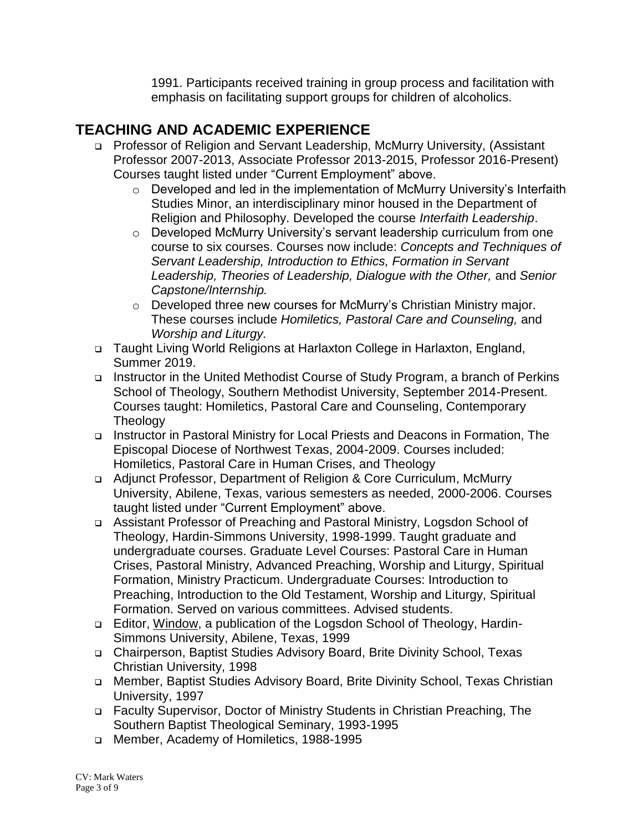1991. Participants received training in group process and facilitation with emphasis on facilitating support groups for children of alcoholics.

#### **TEACHING AND ACADEMIC EXPERIENCE**

- Professor of Religion and Servant Leadership, McMurry University, (Assistant Professor 2007-2013, Associate Professor 2013-2015, Professor 2016-Present) Courses taught listed under "Current Employment" above.
	- o Developed and led in the implementation of McMurry University's Interfaith Studies Minor, an interdisciplinary minor housed in the Department of Religion and Philosophy. Developed the course *Interfaith Leadership*.
	- o Developed McMurry University's servant leadership curriculum from one course to six courses. Courses now include: *Concepts and Techniques of Servant Leadership, Introduction to Ethics, Formation in Servant Leadership, Theories of Leadership, Dialogue with the Other,* and *Senior Capstone/Internship.*
	- o Developed three new courses for McMurry's Christian Ministry major. These courses include *Homiletics, Pastoral Care and Counseling,* and *Worship and Liturgy.*
- □ Taught Living World Religions at Harlaxton College in Harlaxton, England, Summer 2019.
- Instructor in the United Methodist Course of Study Program, a branch of Perkins School of Theology, Southern Methodist University, September 2014-Present. Courses taught: Homiletics, Pastoral Care and Counseling, Contemporary **Theology**
- Instructor in Pastoral Ministry for Local Priests and Deacons in Formation, The Episcopal Diocese of Northwest Texas, 2004-2009. Courses included: Homiletics, Pastoral Care in Human Crises, and Theology
- Adjunct Professor, Department of Religion & Core Curriculum, McMurry University, Abilene, Texas, various semesters as needed, 2000-2006. Courses taught listed under "Current Employment" above.
- Assistant Professor of Preaching and Pastoral Ministry, Logsdon School of Theology, Hardin-Simmons University, 1998-1999. Taught graduate and undergraduate courses. Graduate Level Courses: Pastoral Care in Human Crises, Pastoral Ministry, Advanced Preaching, Worship and Liturgy, Spiritual Formation, Ministry Practicum. Undergraduate Courses: Introduction to Preaching, Introduction to the Old Testament, Worship and Liturgy, Spiritual Formation. Served on various committees. Advised students.
- Editor, Window, a publication of the Logsdon School of Theology, Hardin-Simmons University, Abilene, Texas, 1999
- Chairperson, Baptist Studies Advisory Board, Brite Divinity School, Texas Christian University, 1998
- Member, Baptist Studies Advisory Board, Brite Divinity School, Texas Christian University, 1997
- Faculty Supervisor, Doctor of Ministry Students in Christian Preaching, The Southern Baptist Theological Seminary, 1993-1995
- Member, Academy of Homiletics, 1988-1995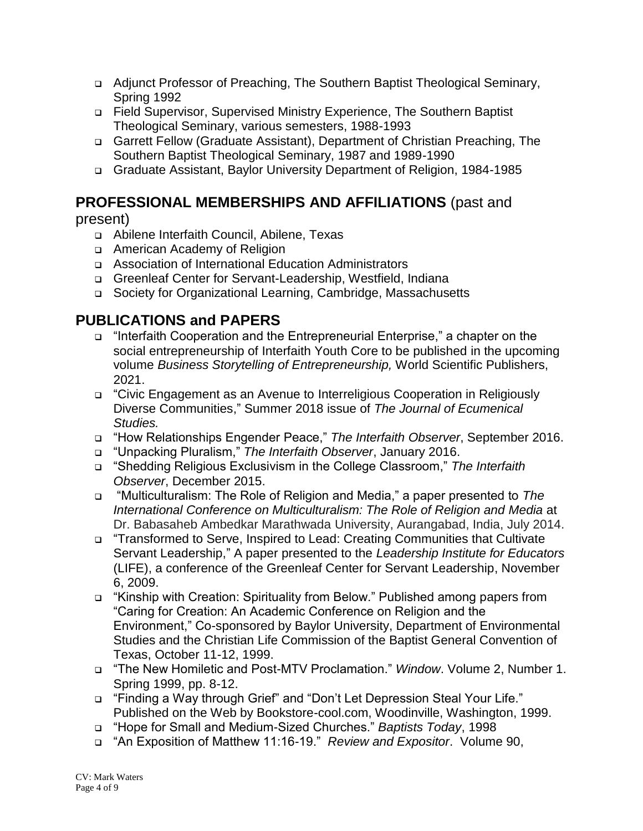- Adjunct Professor of Preaching, The Southern Baptist Theological Seminary, Spring 1992
- Field Supervisor, Supervised Ministry Experience, The Southern Baptist Theological Seminary, various semesters, 1988-1993
- Garrett Fellow (Graduate Assistant), Department of Christian Preaching, The Southern Baptist Theological Seminary, 1987 and 1989-1990
- Graduate Assistant, Baylor University Department of Religion, 1984-1985

# **PROFESSIONAL MEMBERSHIPS AND AFFILIATIONS** (past and

present)

- Abilene Interfaith Council, Abilene, Texas
- American Academy of Religion
- Association of International Education Administrators
- □ Greenleaf Center for Servant-Leadership, Westfield, Indiana
- Society for Organizational Learning, Cambridge, Massachusetts

#### **PUBLICATIONS and PAPERS**

- "Interfaith Cooperation and the Entrepreneurial Enterprise," a chapter on the social entrepreneurship of Interfaith Youth Core to be published in the upcoming volume *Business Storytelling of Entrepreneurship,* World Scientific Publishers, 2021.
- "Civic Engagement as an Avenue to Interreligious Cooperation in Religiously Diverse Communities," Summer 2018 issue of *The Journal of Ecumenical Studies.*
- "How Relationships Engender Peace," *The Interfaith Observer*, September 2016.
- "Unpacking Pluralism," *The Interfaith Observer*, January 2016.
- "Shedding Religious Exclusivism in the College Classroom," *The Interfaith Observer*, December 2015.
- "Multiculturalism: The Role of Religion and Media," a paper presented to *The International Conference on Multiculturalism: The Role of Religion and Media* at Dr. Babasaheb Ambedkar Marathwada University, Aurangabad, India, July 2014.
- "Transformed to Serve, Inspired to Lead: Creating Communities that Cultivate Servant Leadership," A paper presented to the *Leadership Institute for Educators* (LIFE), a conference of the Greenleaf Center for Servant Leadership, November 6, 2009.
- "Kinship with Creation: Spirituality from Below." Published among papers from "Caring for Creation: An Academic Conference on Religion and the Environment," Co-sponsored by Baylor University, Department of Environmental Studies and the Christian Life Commission of the Baptist General Convention of Texas, October 11-12, 1999.
- "The New Homiletic and Post-MTV Proclamation." *Window*. Volume 2, Number 1. Spring 1999, pp. 8-12.
- "Finding a Way through Grief" and "Don't Let Depression Steal Your Life." Published on the Web by Bookstore-cool.com, Woodinville, Washington, 1999.
- "Hope for Small and Medium-Sized Churches." *Baptists Today*, 1998
- "An Exposition of Matthew 11:16-19." *Review and Expositor*. Volume 90,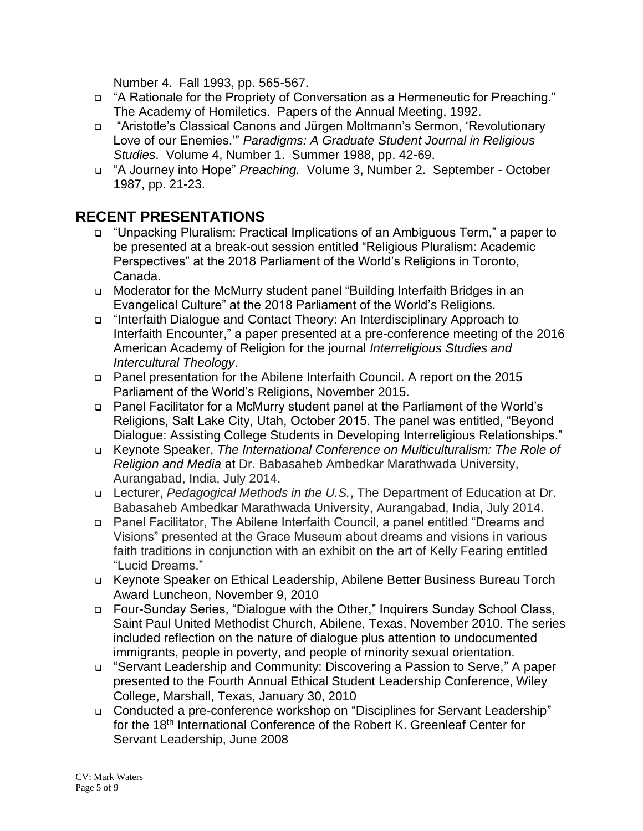Number 4. Fall 1993, pp. 565-567.

- "A Rationale for the Propriety of Conversation as a Hermeneutic for Preaching." The Academy of Homiletics. Papers of the Annual Meeting, 1992.
- "Aristotle's Classical Canons and Jürgen Moltmann's Sermon, 'Revolutionary Love of our Enemies.'" *Paradigms: A Graduate Student Journal in Religious Studies*. Volume 4, Number 1. Summer 1988, pp. 42-69.
- "A Journey into Hope" *Preaching.* Volume 3, Number 2. September October 1987, pp. 21-23.

#### **RECENT PRESENTATIONS**

- "Unpacking Pluralism: Practical Implications of an Ambiguous Term," a paper to be presented at a break-out session entitled "Religious Pluralism: Academic Perspectives" at the 2018 Parliament of the World's Religions in Toronto, Canada.
- □ Moderator for the McMurry student panel "Building Interfaith Bridges in an Evangelical Culture" at the 2018 Parliament of the World's Religions.
- □ "Interfaith Dialogue and Contact Theory: An Interdisciplinary Approach to Interfaith Encounter," a paper presented at a pre-conference meeting of the 2016 American Academy of Religion for the journal *Interreligious Studies and Intercultural Theology*.
- Panel presentation for the Abilene Interfaith Council. A report on the 2015 Parliament of the World's Religions, November 2015.
- Panel Facilitator for a McMurry student panel at the Parliament of the World's Religions, Salt Lake City, Utah, October 2015. The panel was entitled, "Beyond Dialogue: Assisting College Students in Developing Interreligious Relationships."
- Keynote Speaker, *The International Conference on Multiculturalism: The Role of Religion and Media* at Dr. Babasaheb Ambedkar Marathwada University, Aurangabad, India, July 2014.
- Lecturer, *Pedagogical Methods in the U.S.*, The Department of Education at Dr. Babasaheb Ambedkar Marathwada University, Aurangabad, India, July 2014.
- Panel Facilitator, The Abilene Interfaith Council, a panel entitled "Dreams and Visions" presented at the Grace Museum about dreams and visions in various faith traditions in conjunction with an exhibit on the art of Kelly Fearing entitled "Lucid Dreams."
- Keynote Speaker on Ethical Leadership, Abilene Better Business Bureau Torch Award Luncheon, November 9, 2010
- Four-Sunday Series, "Dialogue with the Other," Inquirers Sunday School Class, Saint Paul United Methodist Church, Abilene, Texas, November 2010. The series included reflection on the nature of dialogue plus attention to undocumented immigrants, people in poverty, and people of minority sexual orientation.
- "Servant Leadership and Community: Discovering a Passion to Serve," A paper presented to the Fourth Annual Ethical Student Leadership Conference, Wiley College, Marshall, Texas, January 30, 2010
- Conducted a pre-conference workshop on "Disciplines for Servant Leadership" for the 18<sup>th</sup> International Conference of the Robert K. Greenleaf Center for Servant Leadership, June 2008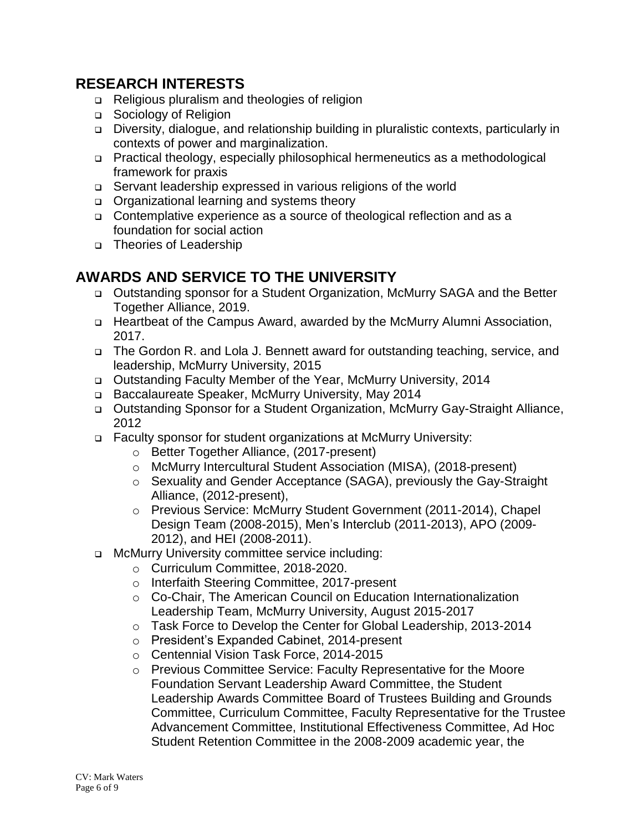#### **RESEARCH INTERESTS**

- □ Religious pluralism and theologies of religion
- □ Sociology of Religion
- Diversity, dialogue, and relationship building in pluralistic contexts, particularly in contexts of power and marginalization.
- Practical theology, especially philosophical hermeneutics as a methodological framework for praxis
- Servant leadership expressed in various religions of the world
- □ Organizational learning and systems theory
- □ Contemplative experience as a source of theological reflection and as a foundation for social action
- □ Theories of Leadership

#### **AWARDS AND SERVICE TO THE UNIVERSITY**

- Outstanding sponsor for a Student Organization, McMurry SAGA and the Better Together Alliance, 2019.
- □ Heartbeat of the Campus Award, awarded by the McMurry Alumni Association, 2017.
- □ The Gordon R. and Lola J. Bennett award for outstanding teaching, service, and leadership, McMurry University, 2015
- Outstanding Faculty Member of the Year, McMurry University, 2014
- □ Baccalaureate Speaker, McMurry University, May 2014
- Outstanding Sponsor for a Student Organization, McMurry Gay-Straight Alliance, 2012
- Faculty sponsor for student organizations at McMurry University:
	- o Better Together Alliance, (2017-present)
	- o McMurry Intercultural Student Association (MISA), (2018-present)
	- o Sexuality and Gender Acceptance (SAGA), previously the Gay-Straight Alliance, (2012-present),
	- o Previous Service: McMurry Student Government (2011-2014), Chapel Design Team (2008-2015), Men's Interclub (2011-2013), APO (2009- 2012), and HEI (2008-2011).
- McMurry University committee service including:
	- o Curriculum Committee, 2018-2020.
	- o Interfaith Steering Committee, 2017-present
	- o Co-Chair, The American Council on Education Internationalization Leadership Team, McMurry University, August 2015-2017
	- o Task Force to Develop the Center for Global Leadership, 2013-2014
	- o President's Expanded Cabinet, 2014-present
	- o Centennial Vision Task Force, 2014-2015
	- o Previous Committee Service: Faculty Representative for the Moore Foundation Servant Leadership Award Committee, the Student Leadership Awards Committee Board of Trustees Building and Grounds Committee, Curriculum Committee, Faculty Representative for the Trustee Advancement Committee, Institutional Effectiveness Committee, Ad Hoc Student Retention Committee in the 2008-2009 academic year, the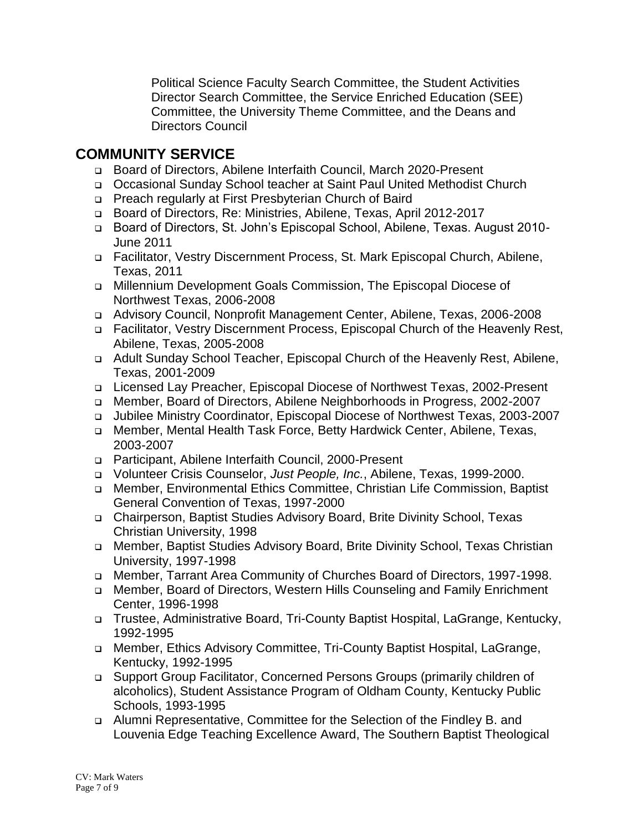Political Science Faculty Search Committee, the Student Activities Director Search Committee, the Service Enriched Education (SEE) Committee, the University Theme Committee, and the Deans and Directors Council

#### **COMMUNITY SERVICE**

- Board of Directors, Abilene Interfaith Council, March 2020-Present
- Occasional Sunday School teacher at Saint Paul United Methodist Church
- Preach regularly at First Presbyterian Church of Baird
- Board of Directors, Re: Ministries, Abilene, Texas, April 2012-2017
- □ Board of Directors, St. John's Episcopal School, Abilene, Texas. August 2010-June 2011
- Facilitator, Vestry Discernment Process, St. Mark Episcopal Church, Abilene, Texas, 2011
- Millennium Development Goals Commission, The Episcopal Diocese of Northwest Texas, 2006-2008
- Advisory Council, Nonprofit Management Center, Abilene, Texas, 2006-2008
- Facilitator, Vestry Discernment Process, Episcopal Church of the Heavenly Rest, Abilene, Texas, 2005-2008
- Adult Sunday School Teacher, Episcopal Church of the Heavenly Rest, Abilene, Texas, 2001-2009
- Licensed Lay Preacher, Episcopal Diocese of Northwest Texas, 2002-Present
- □ Member, Board of Directors, Abilene Neighborhoods in Progress, 2002-2007
- Jubilee Ministry Coordinator, Episcopal Diocese of Northwest Texas, 2003-2007
- Member, Mental Health Task Force, Betty Hardwick Center, Abilene, Texas, 2003-2007
- Participant, Abilene Interfaith Council, 2000-Present
- Volunteer Crisis Counselor, *Just People, Inc.*, Abilene, Texas, 1999-2000.
- Member, Environmental Ethics Committee, Christian Life Commission, Baptist General Convention of Texas, 1997-2000
- Chairperson, Baptist Studies Advisory Board, Brite Divinity School, Texas Christian University, 1998
- Member, Baptist Studies Advisory Board, Brite Divinity School, Texas Christian University, 1997-1998
- Member, Tarrant Area Community of Churches Board of Directors, 1997-1998.
- Member, Board of Directors, Western Hills Counseling and Family Enrichment Center, 1996-1998
- Trustee, Administrative Board, Tri-County Baptist Hospital, LaGrange, Kentucky, 1992-1995
- □ Member, Ethics Advisory Committee, Tri-County Baptist Hospital, LaGrange, Kentucky, 1992-1995
- Support Group Facilitator, Concerned Persons Groups (primarily children of alcoholics), Student Assistance Program of Oldham County, Kentucky Public Schools, 1993-1995
- Alumni Representative, Committee for the Selection of the Findley B. and Louvenia Edge Teaching Excellence Award, The Southern Baptist Theological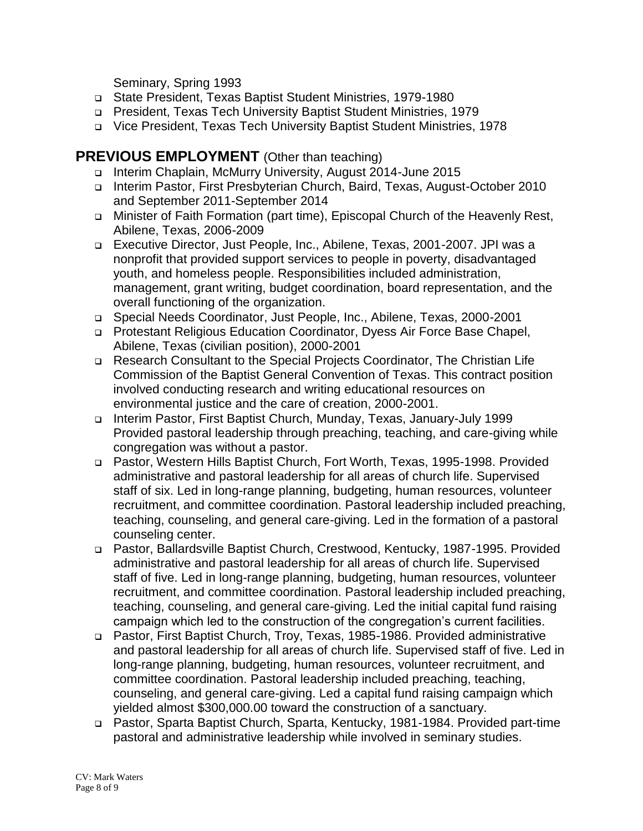Seminary, Spring 1993

- State President, Texas Baptist Student Ministries, 1979-1980
- President, Texas Tech University Baptist Student Ministries, 1979
- Vice President, Texas Tech University Baptist Student Ministries, 1978

#### **PREVIOUS EMPLOYMENT** (Other than teaching)

- Interim Chaplain, McMurry University, August 2014-June 2015
- Interim Pastor, First Presbyterian Church, Baird, Texas, August-October 2010 and September 2011-September 2014
- Minister of Faith Formation (part time), Episcopal Church of the Heavenly Rest, Abilene, Texas, 2006-2009
- Executive Director, Just People, Inc., Abilene, Texas, 2001-2007. JPI was a nonprofit that provided support services to people in poverty, disadvantaged youth, and homeless people. Responsibilities included administration, management, grant writing, budget coordination, board representation, and the overall functioning of the organization.
- □ Special Needs Coordinator, Just People, Inc., Abilene, Texas, 2000-2001
- Protestant Religious Education Coordinator, Dyess Air Force Base Chapel, Abilene, Texas (civilian position), 2000-2001
- Research Consultant to the Special Projects Coordinator, The Christian Life Commission of the Baptist General Convention of Texas. This contract position involved conducting research and writing educational resources on environmental justice and the care of creation, 2000-2001.
- Interim Pastor, First Baptist Church, Munday, Texas, January-July 1999 Provided pastoral leadership through preaching, teaching, and care-giving while congregation was without a pastor.
- Pastor, Western Hills Baptist Church, Fort Worth, Texas, 1995-1998. Provided administrative and pastoral leadership for all areas of church life. Supervised staff of six. Led in long-range planning, budgeting, human resources, volunteer recruitment, and committee coordination. Pastoral leadership included preaching, teaching, counseling, and general care-giving. Led in the formation of a pastoral counseling center.
- Pastor, Ballardsville Baptist Church, Crestwood, Kentucky, 1987-1995. Provided administrative and pastoral leadership for all areas of church life. Supervised staff of five. Led in long-range planning, budgeting, human resources, volunteer recruitment, and committee coordination. Pastoral leadership included preaching, teaching, counseling, and general care-giving. Led the initial capital fund raising campaign which led to the construction of the congregation's current facilities.
- Pastor, First Baptist Church, Troy, Texas, 1985-1986. Provided administrative and pastoral leadership for all areas of church life. Supervised staff of five. Led in long-range planning, budgeting, human resources, volunteer recruitment, and committee coordination. Pastoral leadership included preaching, teaching, counseling, and general care-giving. Led a capital fund raising campaign which yielded almost \$300,000.00 toward the construction of a sanctuary.
- Pastor, Sparta Baptist Church, Sparta, Kentucky, 1981-1984. Provided part-time pastoral and administrative leadership while involved in seminary studies.